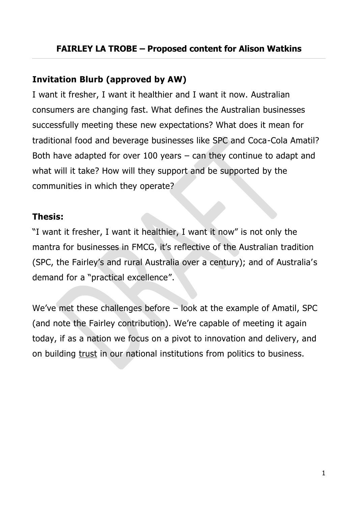## **Invitation Blurb (approved by AW)**

I want it fresher, I want it healthier and I want it now. Australian consumers are changing fast. What defines the Australian businesses successfully meeting these new expectations? What does it mean for traditional food and beverage businesses like SPC and Coca-Cola Amatil? Both have adapted for over 100 years – can they continue to adapt and what will it take? How will they support and be supported by the communities in which they operate?

#### **Thesis:**

"I want it fresher, I want it healthier, I want it now" is not only the mantra for businesses in FMCG, it's reflective of the Australian tradition (SPC, the Fairley's and rural Australia over a century); and of Australia' s demand for a "practical excellence".

We've met these challenges before – look at the example of Amatil, SPC (and note the Fairley contribution). We're capable of meeting it again today, if as a nation we focus on a pivot to innovation and delivery, and on building trust in our national institutions from politics to business.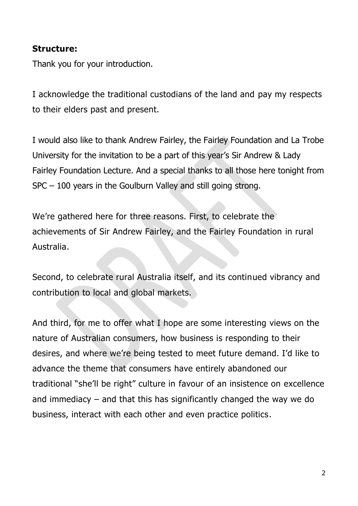#### **Structure:**

Thank you for your introduction.

I acknowledge the traditional custodians of the land and pay my respects to their elders past and present.

I would also like to thank Andrew Fairley, the Fairley Foundation and La Trobe University for the invitation to be a part of this year's Sir Andrew & Lady Fairley Foundation Lecture. And a special thanks to all those here tonight from SPC – 100 years in the Goulburn Valley and still going strong.

We're gathered here for three reasons. First, to celebrate the achievements of Sir Andrew Fairley, and the Fairley Foundation in rural Australia.

Second, to celebrate rural Australia itself, and its continued vibrancy and contribution to local and global markets.

And third, for me to offer what I hope are some interesting views on the nature of Australian consumers, how business is responding to their desires, and where we're being tested to meet future demand. I'd like to advance the theme that consumers have entirely abandoned our traditional "she'll be right" culture in favour of an insistence on excellence and immediacy – and that this has significantly changed the way we do business, interact with each other and even practice politics.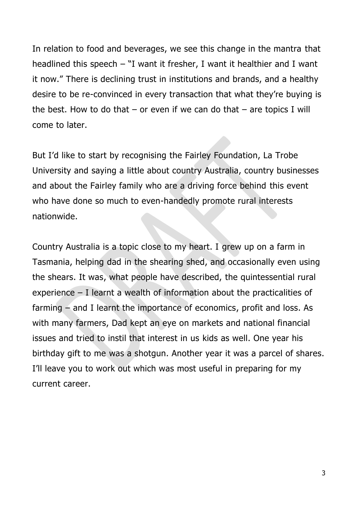In relation to food and beverages, we see this change in the mantra that headlined this speech – "I want it fresher, I want it healthier and I want it now." There is declining trust in institutions and brands, and a healthy desire to be re-convinced in every transaction that what they're buying is the best. How to do that  $-$  or even if we can do that  $-$  are topics I will come to later.

But I'd like to start by recognising the Fairley Foundation, La Trobe University and saying a little about country Australia, country businesses and about the Fairley family who are a driving force behind this event who have done so much to even-handedly promote rural interests nationwide.

Country Australia is a topic close to my heart. I grew up on a farm in Tasmania, helping dad in the shearing shed, and occasionally even using the shears. It was, what people have described, the quintessential rural experience – I learnt a wealth of information about the practicalities of farming – and I learnt the importance of economics, profit and loss. As with many farmers, Dad kept an eye on markets and national financial issues and tried to instil that interest in us kids as well. One year his birthday gift to me was a shotgun. Another year it was a parcel of shares. I'll leave you to work out which was most useful in preparing for my current career.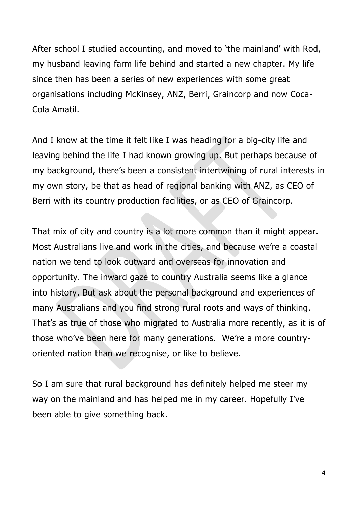After school I studied accounting, and moved to 'the mainland' with Rod, my husband leaving farm life behind and started a new chapter. My life since then has been a series of new experiences with some great organisations including McKinsey, ANZ, Berri, Graincorp and now Coca-Cola Amatil.

And I know at the time it felt like I was heading for a big-city life and leaving behind the life I had known growing up. But perhaps because of my background, there's been a consistent intertwining of rural interests in my own story, be that as head of regional banking with ANZ, as CEO of Berri with its country production facilities, or as CEO of Graincorp.

That mix of city and country is a lot more common than it might appear. Most Australians live and work in the cities, and because we're a coastal nation we tend to look outward and overseas for innovation and opportunity. The inward gaze to country Australia seems like a glance into history. But ask about the personal background and experiences of many Australians and you find strong rural roots and ways of thinking. That's as true of those who migrated to Australia more recently, as it is of those who've been here for many generations. We're a more countryoriented nation than we recognise, or like to believe.

So I am sure that rural background has definitely helped me steer my way on the mainland and has helped me in my career. Hopefully I've been able to give something back.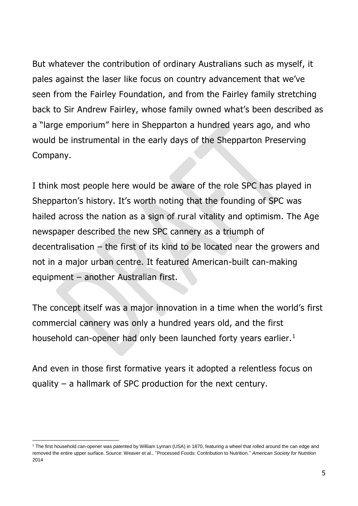But whatever the contribution of ordinary Australians such as myself, it pales against the laser like focus on country advancement that we've seen from the Fairley Foundation, and from the Fairley family stretching back to Sir Andrew Fairley, whose family owned what's been described as a "large emporium" here in Shepparton a hundred years ago, and who would be instrumental in the early days of the Shepparton Preserving Company.

I think most people here would be aware of the role SPC has played in Shepparton's history. It's worth noting that the founding of SPC was hailed across the nation as a sign of rural vitality and optimism. The Age newspaper described the new SPC cannery as a triumph of decentralisation – the first of its kind to be located near the growers and not in a major urban centre. It featured American-built can-making equipment – another Australian first.

The concept itself was a major innovation in a time when the world's first commercial cannery was only a hundred years old, and the first household can-opener had only been launched forty years earlier.<sup>1</sup>

And even in those first formative years it adopted a relentless focus on quality – a hallmark of SPC production for the next century.

**.** 

<sup>&</sup>lt;sup>1</sup> The first household can-opener was patented by William Lyman (USA) in 1870, featuring a wheel that rolled around the can edge and removed the entire upper surface. Source: Weaver et al., "Processed Foods: Contribution to Nutrition." *American Society for Nutrition*  2014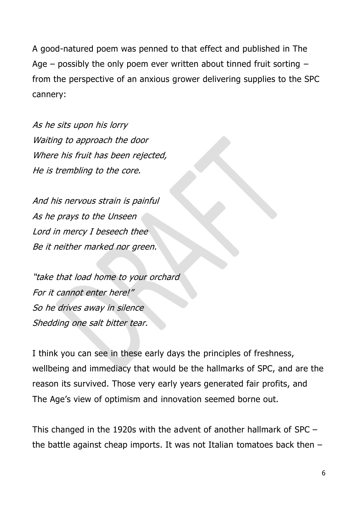A good-natured poem was penned to that effect and published in The Age – possibly the only poem ever written about tinned fruit sorting  $$ from the perspective of an anxious grower delivering supplies to the SPC cannery:

As he sits upon his lorry Waiting to approach the door Where his fruit has been rejected, He is trembling to the core.

And his nervous strain is painful As he prays to the Unseen Lord in mercy I beseech thee Be it neither marked nor green.

"take that load home to your orchard For it cannot enter here!" So he drives away in silence Shedding one salt bitter tear.

I think you can see in these early days the principles of freshness, wellbeing and immediacy that would be the hallmarks of SPC, and are the reason its survived. Those very early years generated fair profits, and The Age's view of optimism and innovation seemed borne out.

This changed in the 1920s with the advent of another hallmark of SPC – the battle against cheap imports. It was not Italian tomatoes back then –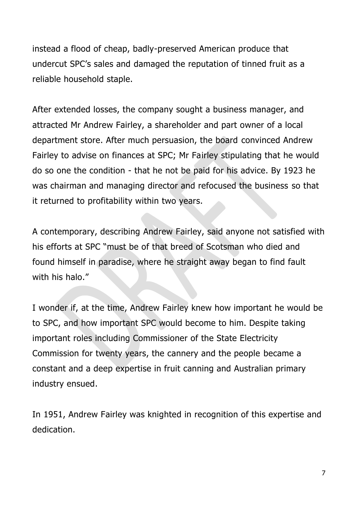instead a flood of cheap, badly-preserved American produce that undercut SPC's sales and damaged the reputation of tinned fruit as a reliable household staple.

After extended losses, the company sought a business manager, and attracted Mr Andrew Fairley, a shareholder and part owner of a local department store. After much persuasion, the board convinced Andrew Fairley to advise on finances at SPC; Mr Fairley stipulating that he would do so one the condition - that he not be paid for his advice. By 1923 he was chairman and managing director and refocused the business so that it returned to profitability within two years.

A contemporary, describing Andrew Fairley, said anyone not satisfied with his efforts at SPC "must be of that breed of Scotsman who died and found himself in paradise, where he straight away began to find fault with his halo."

I wonder if, at the time, Andrew Fairley knew how important he would be to SPC, and how important SPC would become to him. Despite taking important roles including Commissioner of the State Electricity Commission for twenty years, the cannery and the people became a constant and a deep expertise in fruit canning and Australian primary industry ensued.

In 1951, Andrew Fairley was knighted in recognition of this expertise and dedication.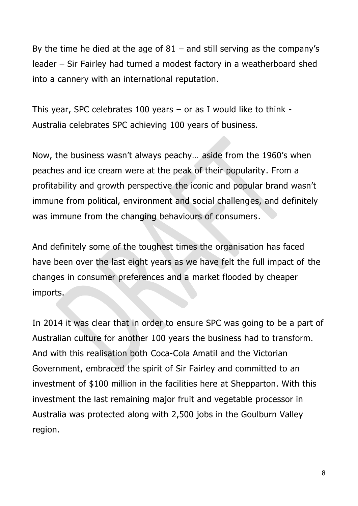By the time he died at the age of  $81 -$  and still serving as the company's leader – Sir Fairley had turned a modest factory in a weatherboard shed into a cannery with an international reputation.

This year, SPC celebrates 100 years  $-$  or as I would like to think  $-$ Australia celebrates SPC achieving 100 years of business.

Now, the business wasn't always peachy… aside from the 1960's when peaches and ice cream were at the peak of their popularity. From a profitability and growth perspective the iconic and popular brand wasn't immune from political, environment and social challenges, and definitely was immune from the changing behaviours of consumers.

And definitely some of the toughest times the organisation has faced have been over the last eight years as we have felt the full impact of the changes in consumer preferences and a market flooded by cheaper imports.

In 2014 it was clear that in order to ensure SPC was going to be a part of Australian culture for another 100 years the business had to transform. And with this realisation both Coca-Cola Amatil and the Victorian Government, embraced the spirit of Sir Fairley and committed to an investment of \$100 million in the facilities here at Shepparton. With this investment the last remaining major fruit and vegetable processor in Australia was protected along with 2,500 jobs in the Goulburn Valley region.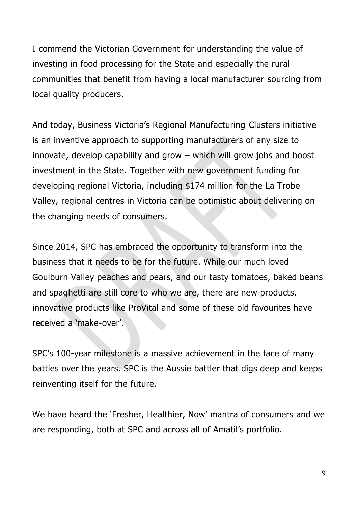I commend the Victorian Government for understanding the value of investing in food processing for the State and especially the rural communities that benefit from having a local manufacturer sourcing from local quality producers.

And today, Business Victoria's Regional Manufacturing Clusters initiative is an inventive approach to supporting manufacturers of any size to innovate, develop capability and grow – which will grow jobs and boost investment in the State. Together with new government funding for developing regional Victoria, including \$174 million for the La Trobe Valley, regional centres in Victoria can be optimistic about delivering on the changing needs of consumers.

Since 2014, SPC has embraced the opportunity to transform into the business that it needs to be for the future. While our much loved Goulburn Valley peaches and pears, and our tasty tomatoes, baked beans and spaghetti are still core to who we are, there are new products, innovative products like ProVital and some of these old favourites have received a 'make-over'.

SPC's 100-year milestone is a massive achievement in the face of many battles over the years. SPC is the Aussie battler that digs deep and keeps reinventing itself for the future.

We have heard the 'Fresher, Healthier, Now' mantra of consumers and we are responding, both at SPC and across all of Amatil's portfolio.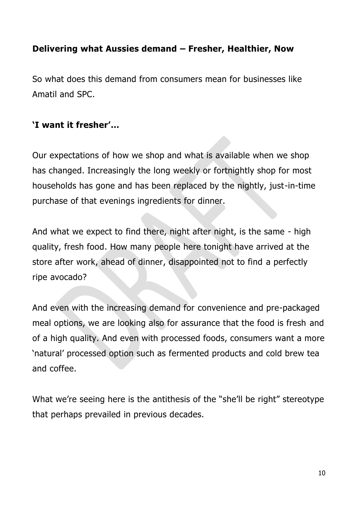## **Delivering what Aussies demand – Fresher, Healthier, Now**

So what does this demand from consumers mean for businesses like Amatil and SPC.

## **'I want it fresher'…**

Our expectations of how we shop and what is available when we shop has changed. Increasingly the long weekly or fortnightly shop for most households has gone and has been replaced by the nightly, just-in-time purchase of that evenings ingredients for dinner.

And what we expect to find there, night after night, is the same - high quality, fresh food. How many people here tonight have arrived at the store after work, ahead of dinner, disappointed not to find a perfectly ripe avocado?

And even with the increasing demand for convenience and pre-packaged meal options, we are looking also for assurance that the food is fresh and of a high quality. And even with processed foods, consumers want a more 'natural' processed option such as fermented products and cold brew tea and coffee.

What we're seeing here is the antithesis of the "she'll be right" stereotype that perhaps prevailed in previous decades.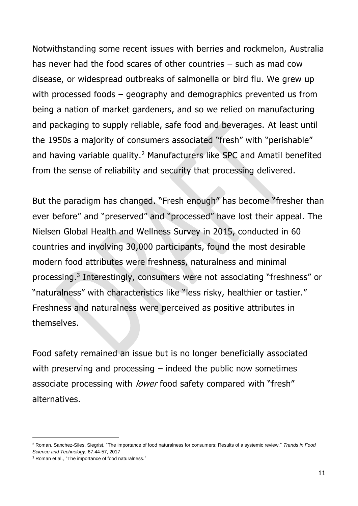Notwithstanding some recent issues with berries and rockmelon, Australia has never had the food scares of other countries – such as mad cow disease, or widespread outbreaks of salmonella or bird flu. We grew up with processed foods – geography and demographics prevented us from being a nation of market gardeners, and so we relied on manufacturing and packaging to supply reliable, safe food and beverages. At least until the 1950s a majority of consumers associated "fresh" with "perishable" and having variable quality.<sup>2</sup> Manufacturers like SPC and Amatil benefited from the sense of reliability and security that processing delivered.

But the paradigm has changed. "Fresh enough" has become "fresher than ever before" and "preserved" and "processed" have lost their appeal. The Nielsen Global Health and Wellness Survey in 2015, conducted in 60 countries and involving 30,000 participants, found the most desirable modern food attributes were freshness, naturalness and minimal processing.<sup>3</sup> Interestingly, consumers were not associating "freshness" or "naturalness" with characteristics like "less risky, healthier or tastier." Freshness and naturalness were perceived as positive attributes in themselves.

Food safety remained an issue but is no longer beneficially associated with preserving and processing – indeed the public now sometimes associate processing with *lower* food safety compared with "fresh" alternatives.

**.** 

<sup>2</sup> Roman, Sanchez-Siles, Siegrist, "The importance of food naturalness for consumers: Results of a systemic review." *Trends in Food Science and Technology.* 67:44-57, 2017

<sup>&</sup>lt;sup>3</sup> Roman et al., "The importance of food naturalness."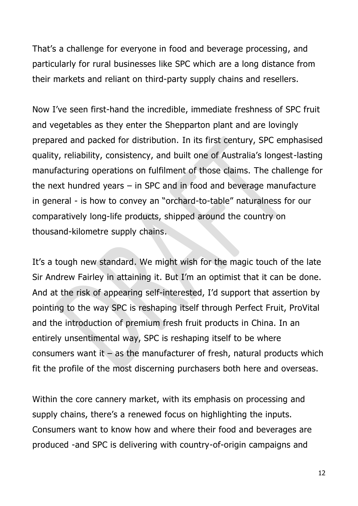That's a challenge for everyone in food and beverage processing, and particularly for rural businesses like SPC which are a long distance from their markets and reliant on third-party supply chains and resellers.

Now I've seen first-hand the incredible, immediate freshness of SPC fruit and vegetables as they enter the Shepparton plant and are lovingly prepared and packed for distribution. In its first century, SPC emphasised quality, reliability, consistency, and built one of Australia's longest-lasting manufacturing operations on fulfilment of those claims. The challenge for the next hundred years – in SPC and in food and beverage manufacture in general - is how to convey an "orchard-to-table" naturalness for our comparatively long-life products, shipped around the country on thousand-kilometre supply chains.

It's a tough new standard. We might wish for the magic touch of the late Sir Andrew Fairley in attaining it. But I'm an optimist that it can be done. And at the risk of appearing self-interested, I'd support that assertion by pointing to the way SPC is reshaping itself through Perfect Fruit, ProVital and the introduction of premium fresh fruit products in China. In an entirely unsentimental way, SPC is reshaping itself to be where consumers want it – as the manufacturer of fresh, natural products which fit the profile of the most discerning purchasers both here and overseas.

Within the core cannery market, with its emphasis on processing and supply chains, there's a renewed focus on highlighting the inputs. Consumers want to know how and where their food and beverages are produced -and SPC is delivering with country-of-origin campaigns and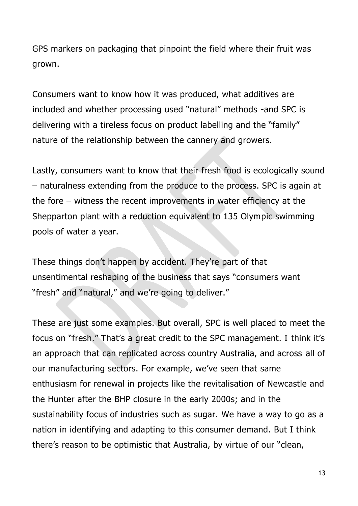GPS markers on packaging that pinpoint the field where their fruit was grown.

Consumers want to know how it was produced, what additives are included and whether processing used "natural" methods -and SPC is delivering with a tireless focus on product labelling and the "family" nature of the relationship between the cannery and growers.

Lastly, consumers want to know that their fresh food is ecologically sound – naturalness extending from the produce to the process. SPC is again at the fore – witness the recent improvements in water efficiency at the Shepparton plant with a reduction equivalent to 135 Olympic swimming pools of water a year.

These things don't happen by accident. They're part of that unsentimental reshaping of the business that says "consumers want "fresh" and "natural," and we're going to deliver."

These are just some examples. But overall, SPC is well placed to meet the focus on "fresh." That's a great credit to the SPC management. I think it's an approach that can replicated across country Australia, and across all of our manufacturing sectors. For example, we've seen that same enthusiasm for renewal in projects like the revitalisation of Newcastle and the Hunter after the BHP closure in the early 2000s; and in the sustainability focus of industries such as sugar. We have a way to go as a nation in identifying and adapting to this consumer demand. But I think there's reason to be optimistic that Australia, by virtue of our "clean,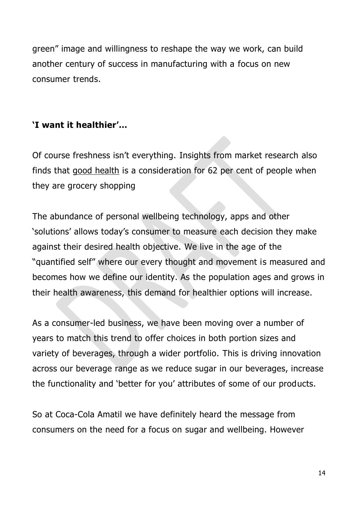green" image and willingness to reshape the way we work, can build another century of success in manufacturing with a focus on new consumer trends.

## **'I want it healthier'…**

Of course freshness isn't everything. Insights from market research also finds that good health is a consideration for 62 per cent of people when they are grocery shopping

The abundance of personal wellbeing technology, apps and other 'solutions' allows today's consumer to measure each decision they make against their desired health objective. We live in the age of the "quantified self" where our every thought and movement is measured and becomes how we define our identity. As the population ages and grows in their health awareness, this demand for healthier options will increase.

As a consumer-led business, we have been moving over a number of years to match this trend to offer choices in both portion sizes and variety of beverages, through a wider portfolio. This is driving innovation across our beverage range as we reduce sugar in our beverages, increase the functionality and 'better for you' attributes of some of our products.

So at Coca-Cola Amatil we have definitely heard the message from consumers on the need for a focus on sugar and wellbeing. However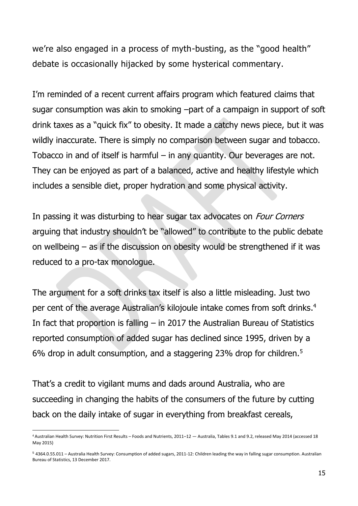we're also engaged in a process of myth-busting, as the "good health" debate is occasionally hijacked by some hysterical commentary.

I'm reminded of a recent current affairs program which featured claims that sugar consumption was akin to smoking –part of a campaign in support of soft drink taxes as a "quick fix" to obesity. It made a catchy news piece, but it was wildly inaccurate. There is simply no comparison between sugar and tobacco. Tobacco in and of itself is harmful – in any quantity. Our beverages are not. They can be enjoyed as part of a balanced, active and healthy lifestyle which includes a sensible diet, proper hydration and some physical activity.

In passing it was disturbing to hear sugar tax advocates on *Four Corners* arguing that industry shouldn't be "allowed" to contribute to the public debate on wellbeing – as if the discussion on obesity would be strengthened if it was reduced to a pro-tax monologue.

The argument for a soft drinks tax itself is also a little misleading. Just two per cent of the average Australian's kilojoule intake comes from soft drinks. 4 In fact that proportion is falling – in 2017 the Australian Bureau of Statistics reported consumption of added sugar has declined since 1995, driven by a 6% drop in adult consumption, and a staggering 23% drop for children.<sup>5</sup>

That's a credit to vigilant mums and dads around Australia, who are succeeding in changing the habits of the consumers of the future by cutting back on the daily intake of sugar in everything from breakfast cereals,

**.** 

<sup>4</sup> Australian Health Survey: Nutrition First Results – Foods and Nutrients, 2011–12 — Australia, Tables 9.1 and 9.2, released May 2014 (accessed 18 May 2015)

<sup>5</sup> 4364.0.55.011 – Australia Health Survey: Consumption of added sugars, 2011-12: Children leading the way in falling sugar consumption. Australian Bureau of Statistics, 13 December 2017.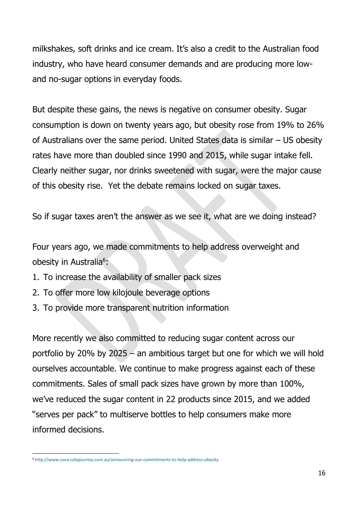milkshakes, soft drinks and ice cream. It's also a credit to the Australian food industry, who have heard consumer demands and are producing more lowand no-sugar options in everyday foods.

But despite these gains, the news is negative on consumer obesity. Sugar consumption is down on twenty years ago, but obesity rose from 19% to 26% of Australians over the same period. United States data is similar – US obesity rates have more than doubled since 1990 and 2015, while sugar intake fell. Clearly neither sugar, nor drinks sweetened with sugar, were the major cause of this obesity rise. Yet the debate remains locked on sugar taxes.

So if sugar taxes aren't the answer as we see it, what are we doing instead?

Four years ago, we made commitments to help address overweight and obesity in Australia<sup>6</sup>:

- 1. To increase the availability of smaller pack sizes
- 2. To offer more low kilojoule beverage options
- 3. To provide more transparent nutrition information

More recently we also committed to reducing sugar content across our portfolio by 20% by 2025 – an ambitious target but one for which we will hold ourselves accountable. We continue to make progress against each of these commitments. Sales of small pack sizes have grown by more than 100%, we've reduced the sugar content in 22 products since 2015, and we added "serves per pack" to multiserve bottles to help consumers make more informed decisions.

 $\overline{a}$ 

<sup>6</sup> <http://www.coca-colajourney.com.au/announcing-our-commitments-to-help-address-obesity>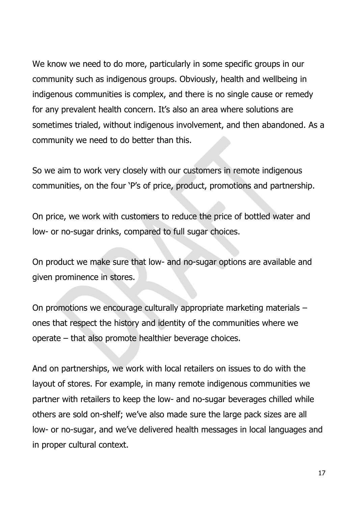We know we need to do more, particularly in some specific groups in our community such as indigenous groups. Obviously, health and wellbeing in indigenous communities is complex, and there is no single cause or remedy for any prevalent health concern. It's also an area where solutions are sometimes trialed, without indigenous involvement, and then abandoned. As a community we need to do better than this.

So we aim to work very closely with our customers in remote indigenous communities, on the four 'P's of price, product, promotions and partnership.

On price, we work with customers to reduce the price of bottled water and low- or no-sugar drinks, compared to full sugar choices.

On product we make sure that low- and no-sugar options are available and given prominence in stores.

On promotions we encourage culturally appropriate marketing materials – ones that respect the history and identity of the communities where we operate – that also promote healthier beverage choices.

And on partnerships, we work with local retailers on issues to do with the layout of stores. For example, in many remote indigenous communities we partner with retailers to keep the low- and no-sugar beverages chilled while others are sold on-shelf; we've also made sure the large pack sizes are all low- or no-sugar, and we've delivered health messages in local languages and in proper cultural context.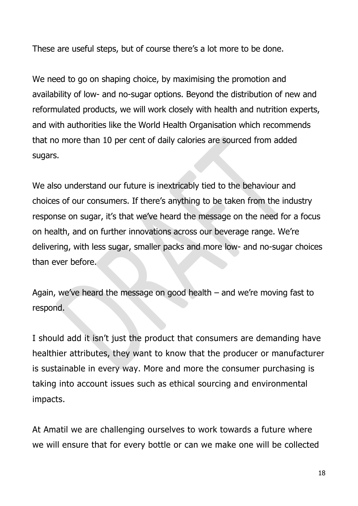These are useful steps, but of course there's a lot more to be done.

We need to go on shaping choice, by maximising the promotion and availability of low- and no-sugar options. Beyond the distribution of new and reformulated products, we will work closely with health and nutrition experts, and with authorities like the World Health Organisation which recommends that no more than 10 per cent of daily calories are sourced from added sugars.

We also understand our future is inextricably tied to the behaviour and choices of our consumers. If there's anything to be taken from the industry response on sugar, it's that we've heard the message on the need for a focus on health, and on further innovations across our beverage range. We're delivering, with less sugar, smaller packs and more low- and no-sugar choices than ever before.

Again, we've heard the message on good health – and we're moving fast to respond.

I should add it isn't just the product that consumers are demanding have healthier attributes, they want to know that the producer or manufacturer is sustainable in every way. More and more the consumer purchasing is taking into account issues such as ethical sourcing and environmental impacts.

At Amatil we are challenging ourselves to work towards a future where we will ensure that for every bottle or can we make one will be collected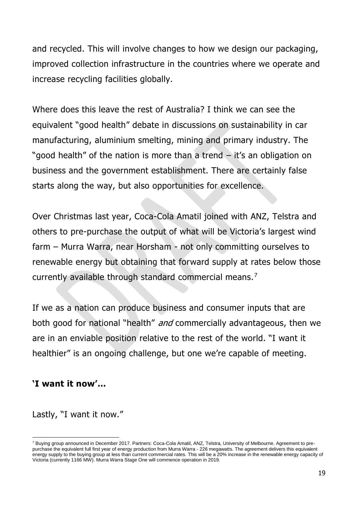and recycled. This will involve changes to how we design our packaging, improved collection infrastructure in the countries where we operate and increase recycling facilities globally.

Where does this leave the rest of Australia? I think we can see the equivalent "good health" debate in discussions on sustainability in car manufacturing, aluminium smelting, mining and primary industry. The "good health" of the nation is more than a trend – it's an obligation on business and the government establishment. There are certainly false starts along the way, but also opportunities for excellence.

Over Christmas last year, Coca-Cola Amatil joined with ANZ, Telstra and others to pre-purchase the output of what will be Victoria's largest wind farm – Murra Warra, near Horsham - not only committing ourselves to renewable energy but obtaining that forward supply at rates below those currently available through standard commercial means. <sup>7</sup>

If we as a nation can produce business and consumer inputs that are both good for national "health" and commercially advantageous, then we are in an enviable position relative to the rest of the world. "I want it healthier" is an ongoing challenge, but one we're capable of meeting.

#### **'I want it now'…**

 $\overline{a}$ 

Lastly, "I want it now."

<sup>&</sup>lt;sup>7</sup> Buying group announced in December 2017. Partners: Coca-Cola Amatil, ANZ, Telstra, University of Melbourne. Agreement to prepurchase the equivalent full first year of energy production from Murra Warra - 226 megawatts. The agreement delivers this equivalent energy supply to the buying group at less than current commercial rates. This will be a 20% increase in the renewable energy capacity of Victoria (currently 1166 MW). Murra Warra Stage One will commence operation in 2019.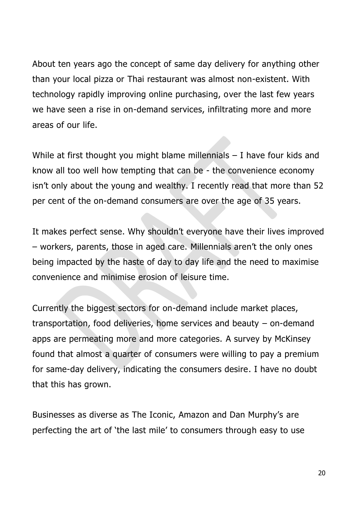About ten years ago the concept of same day delivery for anything other than your local pizza or Thai restaurant was almost non-existent. With technology rapidly improving online purchasing, over the last few years we have seen a rise in on-demand services, infiltrating more and more areas of our life.

While at first thought you might blame millennials – I have four kids and know all too well how tempting that can be - the convenience economy isn't only about the young and wealthy. I recently read that more than 52 per cent of the on-demand consumers are over the age of 35 years.

It makes perfect sense. Why shouldn't everyone have their lives improved – workers, parents, those in aged care. Millennials aren't the only ones being impacted by the haste of day to day life and the need to maximise convenience and minimise erosion of leisure time.

Currently the biggest sectors for on-demand include market places, transportation, food deliveries, home services and beauty – on-demand apps are permeating more and more categories. A survey by McKinsey found that almost a quarter of consumers were willing to pay a premium for same-day delivery, indicating the consumers desire. I have no doubt that this has grown.

Businesses as diverse as The Iconic, Amazon and Dan Murphy's are perfecting the art of 'the last mile' to consumers through easy to use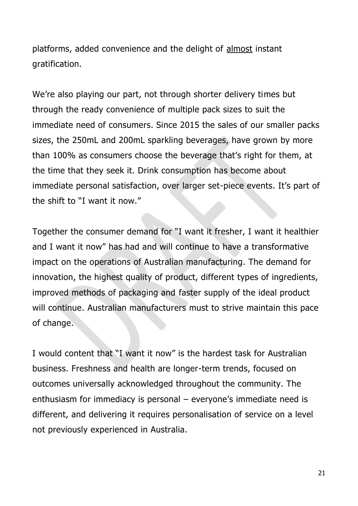platforms, added convenience and the delight of almost instant gratification.

We're also playing our part, not through shorter delivery times but through the ready convenience of multiple pack sizes to suit the immediate need of consumers. Since 2015 the sales of our smaller packs sizes, the 250mL and 200mL sparkling beverages, have grown by more than 100% as consumers choose the beverage that's right for them, at the time that they seek it. Drink consumption has become about immediate personal satisfaction, over larger set-piece events. It's part of the shift to "I want it now."

Together the consumer demand for "I want it fresher, I want it healthier and I want it now" has had and will continue to have a transformative impact on the operations of Australian manufacturing. The demand for innovation, the highest quality of product, different types of ingredients, improved methods of packaging and faster supply of the ideal product will continue. Australian manufacturers must to strive maintain this pace of change.

I would content that "I want it now" is the hardest task for Australian business. Freshness and health are longer-term trends, focused on outcomes universally acknowledged throughout the community. The enthusiasm for immediacy is personal – everyone's immediate need is different, and delivering it requires personalisation of service on a level not previously experienced in Australia.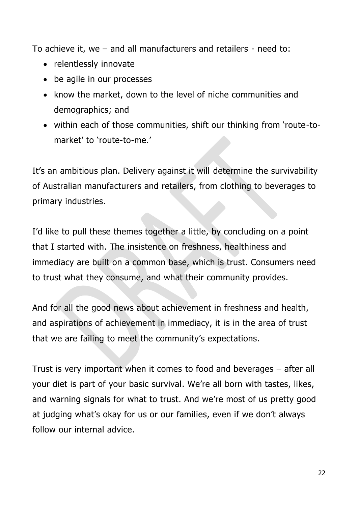To achieve it, we – and all manufacturers and retailers - need to:

- relentlessly innovate
- be agile in our processes
- know the market, down to the level of niche communities and demographics; and
- within each of those communities, shift our thinking from 'route-tomarket' to 'route-to-me.'

It's an ambitious plan. Delivery against it will determine the survivability of Australian manufacturers and retailers, from clothing to beverages to primary industries.

I'd like to pull these themes together a little, by concluding on a point that I started with. The insistence on freshness, healthiness and immediacy are built on a common base, which is trust. Consumers need to trust what they consume, and what their community provides.

And for all the good news about achievement in freshness and health, and aspirations of achievement in immediacy, it is in the area of trust that we are failing to meet the community's expectations.

Trust is very important when it comes to food and beverages – after all your diet is part of your basic survival. We're all born with tastes, likes, and warning signals for what to trust. And we're most of us pretty good at judging what's okay for us or our families, even if we don't always follow our internal advice.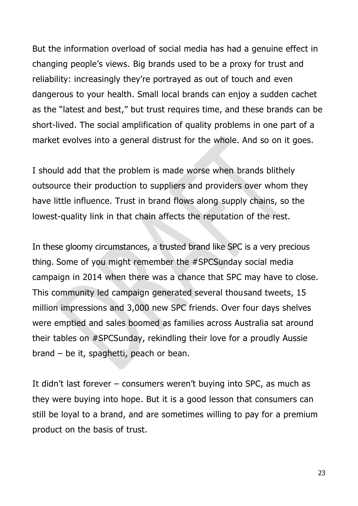But the information overload of social media has had a genuine effect in changing people's views. Big brands used to be a proxy for trust and reliability: increasingly they're portrayed as out of touch and even dangerous to your health. Small local brands can enjoy a sudden cachet as the "latest and best," but trust requires time, and these brands can be short-lived. The social amplification of quality problems in one part of a market evolves into a general distrust for the whole. And so on it goes.

I should add that the problem is made worse when brands blithely outsource their production to suppliers and providers over whom they have little influence. Trust in brand flows along supply chains, so the lowest-quality link in that chain affects the reputation of the rest.

In these gloomy circumstances, a trusted brand like SPC is a very precious thing. Some of you might remember the #SPCSunday social media campaign in 2014 when there was a chance that SPC may have to close. This community led campaign generated several thousand tweets, 15 million impressions and 3,000 new SPC friends. Over four days shelves were emptied and sales boomed as families across Australia sat around their tables on #SPCSunday, rekindling their love for a proudly Aussie brand – be it, spaghetti, peach or bean.

It didn't last forever – consumers weren't buying into SPC, as much as they were buying into hope. But it is a good lesson that consumers can still be loyal to a brand, and are sometimes willing to pay for a premium product on the basis of trust.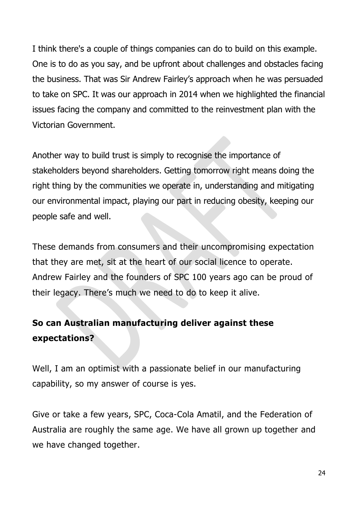I think there's a couple of things companies can do to build on this example. One is to do as you say, and be upfront about challenges and obstacles facing the business. That was Sir Andrew Fairley's approach when he was persuaded to take on SPC. It was our approach in 2014 when we highlighted the financial issues facing the company and committed to the reinvestment plan with the Victorian Government.

Another way to build trust is simply to recognise the importance of stakeholders beyond shareholders. Getting tomorrow right means doing the right thing by the communities we operate in, understanding and mitigating our environmental impact, playing our part in reducing obesity, keeping our people safe and well.

These demands from consumers and their uncompromising expectation that they are met, sit at the heart of our social licence to operate. Andrew Fairley and the founders of SPC 100 years ago can be proud of their legacy. There's much we need to do to keep it alive.

# **So can Australian manufacturing deliver against these expectations?**

Well, I am an optimist with a passionate belief in our manufacturing capability, so my answer of course is yes.

Give or take a few years, SPC, Coca-Cola Amatil, and the Federation of Australia are roughly the same age. We have all grown up together and we have changed together.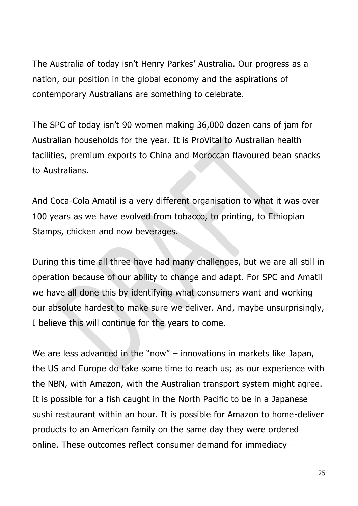The Australia of today isn't Henry Parkes' Australia. Our progress as a nation, our position in the global economy and the aspirations of contemporary Australians are something to celebrate.

The SPC of today isn't 90 women making 36,000 dozen cans of jam for Australian households for the year. It is ProVital to Australian health facilities, premium exports to China and Moroccan flavoured bean snacks to Australians.

And Coca-Cola Amatil is a very different organisation to what it was over 100 years as we have evolved from tobacco, to printing, to Ethiopian Stamps, chicken and now beverages.

During this time all three have had many challenges, but we are all still in operation because of our ability to change and adapt. For SPC and Amatil we have all done this by identifying what consumers want and working our absolute hardest to make sure we deliver. And, maybe unsurprisingly, I believe this will continue for the years to come.

We are less advanced in the "now" – innovations in markets like Japan, the US and Europe do take some time to reach us; as our experience with the NBN, with Amazon, with the Australian transport system might agree. It is possible for a fish caught in the North Pacific to be in a Japanese sushi restaurant within an hour. It is possible for Amazon to home-deliver products to an American family on the same day they were ordered online. These outcomes reflect consumer demand for immediacy –